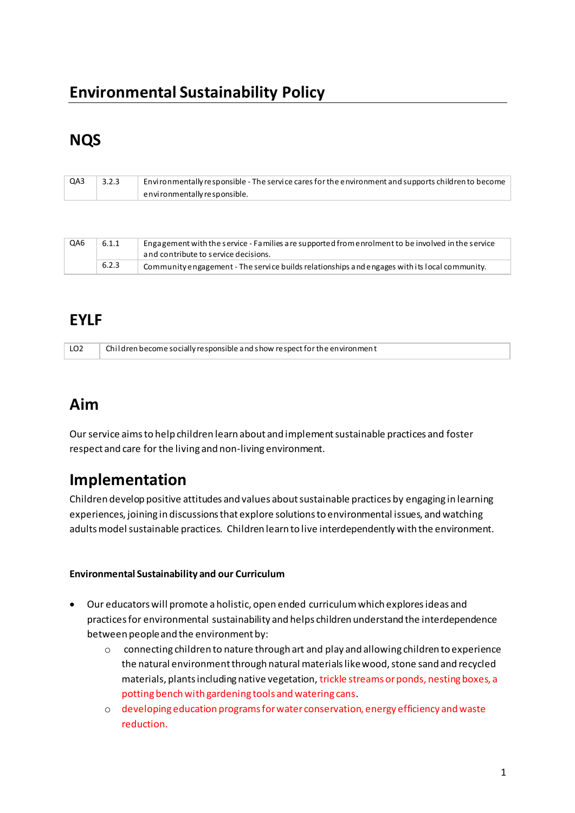# **Environmental Sustainability Policy**

# **NQS**

| QA3 | 3.2.3 | Environmentally responsible - The service cares for the environment and supports children to become |
|-----|-------|-----------------------------------------------------------------------------------------------------|
|     |       | environmentally responsible.                                                                        |

| QA6 | 6.1.1 | Engagement with the service - Families are supported from enrolment to be involved in the service<br>and contribute to service decisions. |
|-----|-------|-------------------------------------------------------------------------------------------------------------------------------------------|
|     | 6.2.3 | Community engagement - The service builds relationships and engages with its local community.                                             |

### **EYLF**

| LO <sub>2</sub> | Children become socially responsible and show respect for the environment |
|-----------------|---------------------------------------------------------------------------|

### **Aim**

Our service aims to help children learn about and implement sustainable practices and foster respect and care for the living and non-living environment.

## **Implementation**

Children develop positive attitudes and values about sustainable practices by engaging in learning experiences, joining in discussions that explore solutions to environmental issues, and watching adults model sustainable practices. Children learn to live interdependently with the environment.

#### **Environmental Sustainability and our Curriculum**

- Our educators will promote a holistic, open ended curriculum which explores ideas and practices for environmental sustainability and helps children understand the interdependence between people and the environment by:
	- o connecting children to nature through art and play and allowing children to experience the natural environment through natural materials like wood, stone sand and recycled materials, plants including native vegetation, trickle streams or ponds, nesting boxes, a potting bench with gardening tools and watering cans.
	- o developing education programs for water conservation, energy efficiency and waste reduction.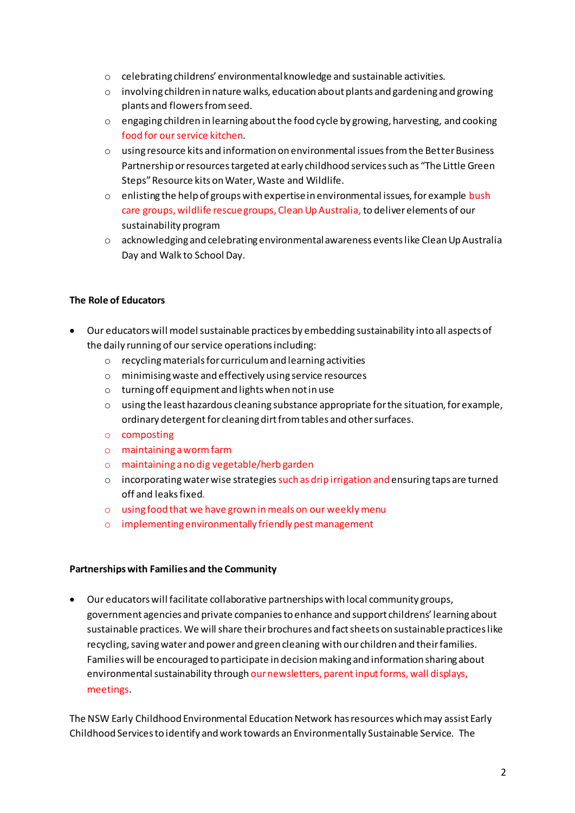- o celebrating childrens' environmental knowledge and sustainable activities.
- $\circ$  involving children in nature walks, education about plants and gardening and growing plants and flowers from seed.
- o engaging children in learning about the food cycle by growing, harvesting, and cooking food for our service kitchen.
- o using resource kits and information on environmental issues from the Better Business Partnership or resources targeted at early childhood services such as "The Little Green Steps" Resource kits on Water, Waste and Wildlife.
- o enlisting the help of groups with expertise in environmental issues, for example bush care groups, wildlife rescue groups, Clean Up Australia, to deliver elements of our sustainability program
- $\circ$  acknowledging and celebrating environmental awareness events like Clean Up Australia Day and Walk to School Day.

#### The Role of Educators

- Our educators will model sustainable practices by embedding sustainability into all aspects of the daily running of our service operations including:
	- $\circ$  recycling materials for curriculum and learning activities
	- o minimising waste and effectively using service resources
	- o turning off equipment and lights when not in use
	- $\circ$  using the least hazardous cleaning substance appropriate for the situation, for example, ordinary detergent for cleaning dirt from tables and other surfaces.
	- o composting
	- $\circ$  maintaining a worm farm
	- o maintaining a no dig vegetable/herb garden
	- o incorporating water wise strategies such as drip irrigation and ensuring taps are turned off and leaks fixed.
	- o using food that we have grown in meals on our weekly menu
	- o implementing environmentally friendly pest management

#### Partnerships with Families and the Community

• Our educators will facilitate collaborative partnerships with local community groups, government agencies and private companies to enhance and support childrens' learning about sustainable practices. We will share their brochures and fact sheets on sustainable practices like recycling, saving water and power and green cleaning with our children and their families. Families will be encouraged to participate in decision making and information sharing about environmental sustainability through our newsletters, parent input forms, wall displays, meetings.

The NSW Early Childhood Environmental Education Network has resources which may assist Early Childhood Services to identify and work towards an Environmentally Sustainable Service. The